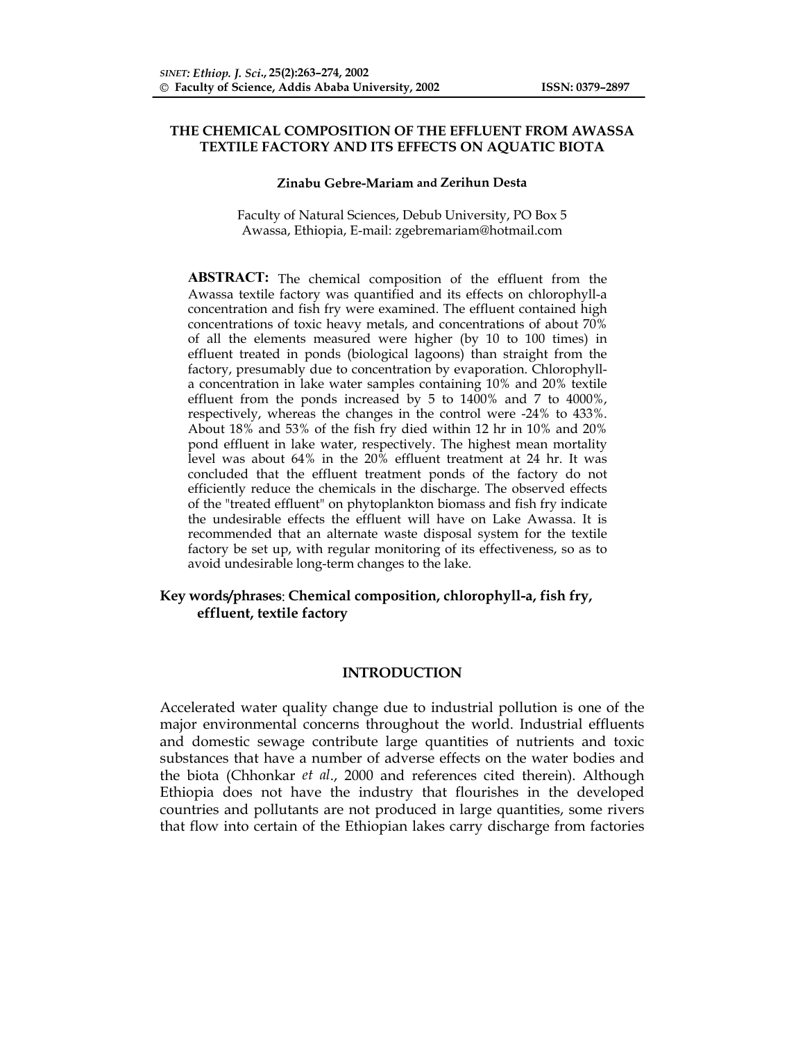## **THE CHEMICAL COMPOSITION OF THE EFFLUENT FROM AWASSA TEXTILE FACTORY AND ITS EFFECTS ON AQUATIC BIOTA**

#### **Zinabu Gebre-Mariam and Zerihun Desta**

Faculty of Natural Sciences, Debub University, PO Box 5 Awassa, Ethiopia, E-mail: zgebremariam@hotmail.com

**ABSTRACT:** The chemical composition of the effluent from the Awassa textile factory was quantified and its effects on chlorophyll-a concentration and fish fry were examined. The effluent contained high concentrations of toxic heavy metals, and concentrations of about 70% of all the elements measured were higher (by 10 to 100 times) in effluent treated in ponds (biological lagoons) than straight from the factory, presumably due to concentration by evaporation. Chlorophylla concentration in lake water samples containing 10% and 20% textile effluent from the ponds increased by 5 to 1400% and 7 to 4000%, respectively, whereas the changes in the control were -24% to 433%. About 18% and 53% of the fish fry died within 12 hr in 10% and 20% pond effluent in lake water, respectively. The highest mean mortality level was about 64% in the 20% effluent treatment at 24 hr. It was concluded that the effluent treatment ponds of the factory do not efficiently reduce the chemicals in the discharge. The observed effects of the "treated effluent" on phytoplankton biomass and fish fry indicate the undesirable effects the effluent will have on Lake Awassa. It is recommended that an alternate waste disposal system for the textile factory be set up, with regular monitoring of its effectiveness, so as to avoid undesirable long-term changes to the lake.

# **Key words/phrases**: **Chemical composition, chlorophyll-a, fish fry, effluent, textile factory**

## **INTRODUCTION**

Accelerated water quality change due to industrial pollution is one of the major environmental concerns throughout the world. Industrial effluents and domestic sewage contribute large quantities of nutrients and toxic substances that have a number of adverse effects on the water bodies and the biota (Chhonkar *et al*., 2000 and references cited therein). Although Ethiopia does not have the industry that flourishes in the developed countries and pollutants are not produced in large quantities, some rivers that flow into certain of the Ethiopian lakes carry discharge from factories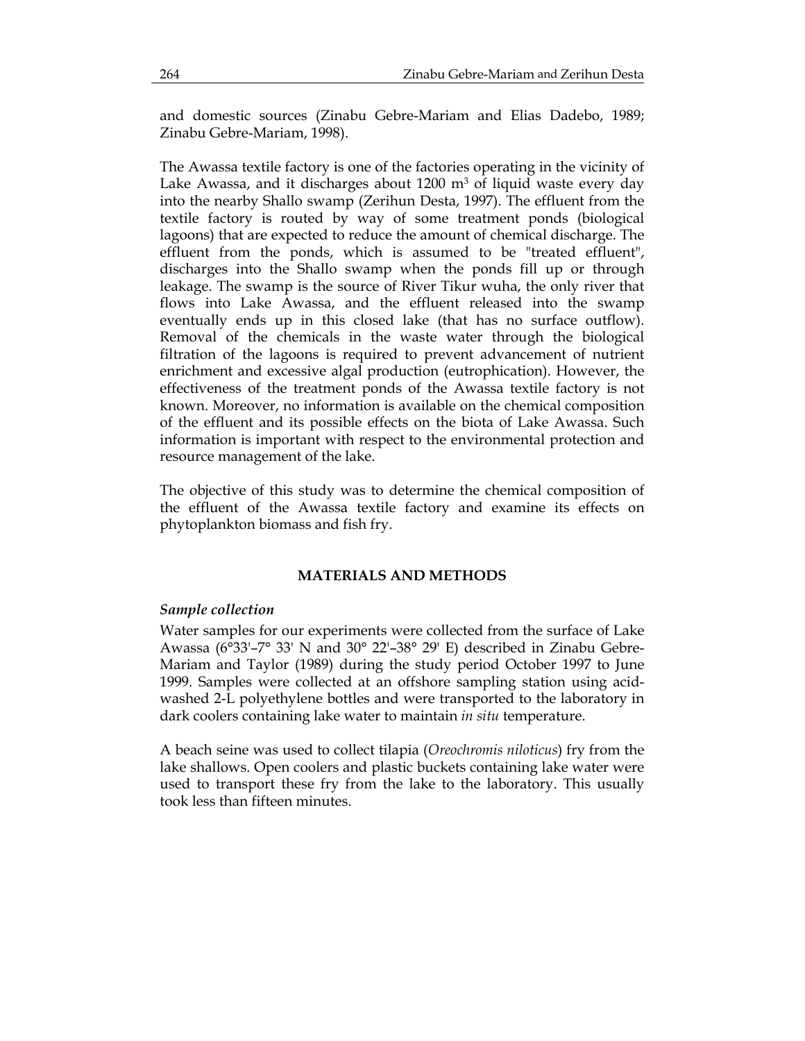and domestic sources (Zinabu Gebre-Mariam and Elias Dadebo, 1989; Zinabu Gebre-Mariam, 1998).

The Awassa textile factory is one of the factories operating in the vicinity of Lake Awassa, and it discharges about 1200  $m<sup>3</sup>$  of liquid waste every day into the nearby Shallo swamp (Zerihun Desta, 1997). The effluent from the textile factory is routed by way of some treatment ponds (biological lagoons) that are expected to reduce the amount of chemical discharge. The effluent from the ponds, which is assumed to be "treated effluent", discharges into the Shallo swamp when the ponds fill up or through leakage. The swamp is the source of River Tikur wuha, the only river that flows into Lake Awassa, and the effluent released into the swamp eventually ends up in this closed lake (that has no surface outflow). Removal of the chemicals in the waste water through the biological filtration of the lagoons is required to prevent advancement of nutrient enrichment and excessive algal production (eutrophication). However, the effectiveness of the treatment ponds of the Awassa textile factory is not known. Moreover, no information is available on the chemical composition of the effluent and its possible effects on the biota of Lake Awassa. Such information is important with respect to the environmental protection and resource management of the lake.

The objective of this study was to determine the chemical composition of the effluent of the Awassa textile factory and examine its effects on phytoplankton biomass and fish fry.

## **MATERIALS AND METHODS**

## *Sample collection*

Water samples for our experiments were collected from the surface of Lake Awassa (6°33'–7° 33' N and 30° 22'–38° 29' E) described in Zinabu Gebre-Mariam and Taylor (1989) during the study period October 1997 to June 1999. Samples were collected at an offshore sampling station using acidwashed 2-L polyethylene bottles and were transported to the laboratory in dark coolers containing lake water to maintain *in situ* temperature.

A beach seine was used to collect tilapia (*Oreochromis niloticus*) fry from the lake shallows. Open coolers and plastic buckets containing lake water were used to transport these fry from the lake to the laboratory. This usually took less than fifteen minutes.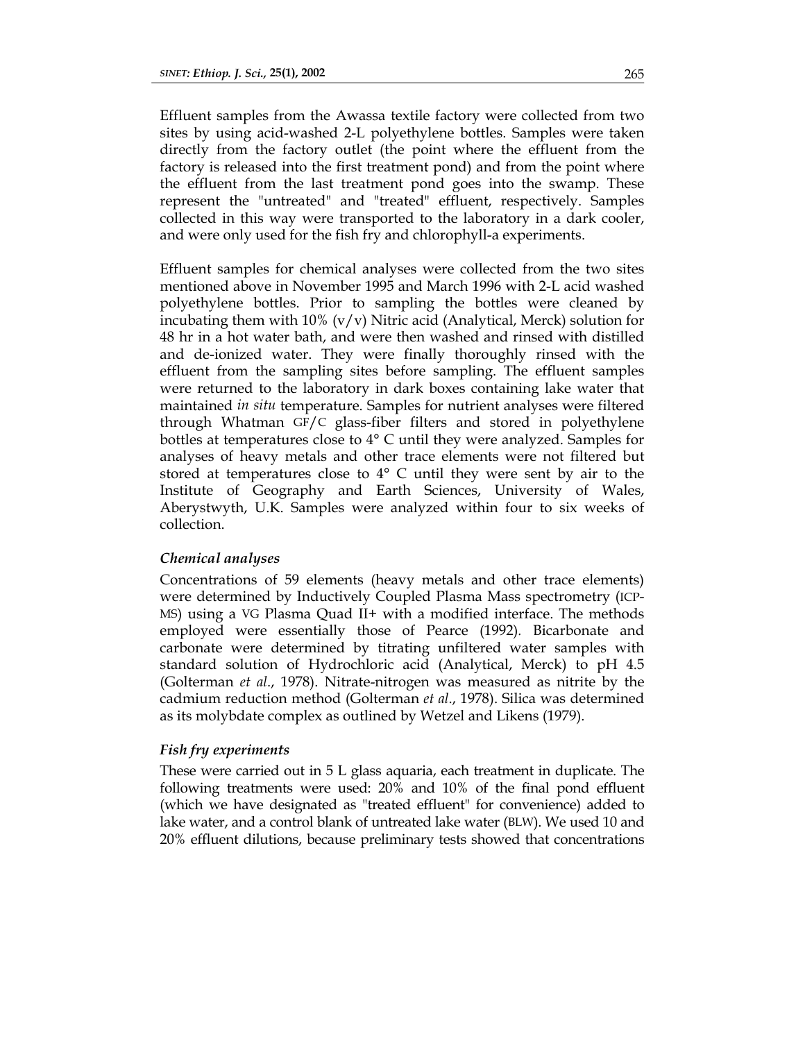Effluent samples from the Awassa textile factory were collected from two sites by using acid-washed 2-L polyethylene bottles. Samples were taken directly from the factory outlet (the point where the effluent from the factory is released into the first treatment pond) and from the point where the effluent from the last treatment pond goes into the swamp. These represent the "untreated" and "treated" effluent, respectively. Samples collected in this way were transported to the laboratory in a dark cooler, and were only used for the fish fry and chlorophyll-a experiments.

Effluent samples for chemical analyses were collected from the two sites mentioned above in November 1995 and March 1996 with 2-L acid washed polyethylene bottles. Prior to sampling the bottles were cleaned by incubating them with  $10\%$  (v/v) Nitric acid (Analytical, Merck) solution for 48 hr in a hot water bath, and were then washed and rinsed with distilled and de-ionized water. They were finally thoroughly rinsed with the effluent from the sampling sites before sampling. The effluent samples were returned to the laboratory in dark boxes containing lake water that maintained *in situ* temperature. Samples for nutrient analyses were filtered through Whatman GF/C glass-fiber filters and stored in polyethylene bottles at temperatures close to 4° C until they were analyzed. Samples for analyses of heavy metals and other trace elements were not filtered but stored at temperatures close to 4° C until they were sent by air to the Institute of Geography and Earth Sciences, University of Wales, Aberystwyth, U.K. Samples were analyzed within four to six weeks of collection.

## *Chemical analyses*

Concentrations of 59 elements (heavy metals and other trace elements) were determined by Inductively Coupled Plasma Mass spectrometry (ICP-MS) using a VG Plasma Quad II+ with a modified interface. The methods employed were essentially those of Pearce (1992)*.* Bicarbonate and carbonate were determined by titrating unfiltered water samples with standard solution of Hydrochloric acid (Analytical, Merck) to pH 4.5 (Golterman *et al*., 1978). Nitrate-nitrogen was measured as nitrite by the cadmium reduction method (Golterman *et al*., 1978). Silica was determined as its molybdate complex as outlined by Wetzel and Likens (1979).

#### *Fish fry experiments*

These were carried out in 5 L glass aquaria, each treatment in duplicate. The following treatments were used: 20% and 10% of the final pond effluent (which we have designated as "treated effluent" for convenience) added to lake water, and a control blank of untreated lake water (BLW). We used 10 and 20% effluent dilutions, because preliminary tests showed that concentrations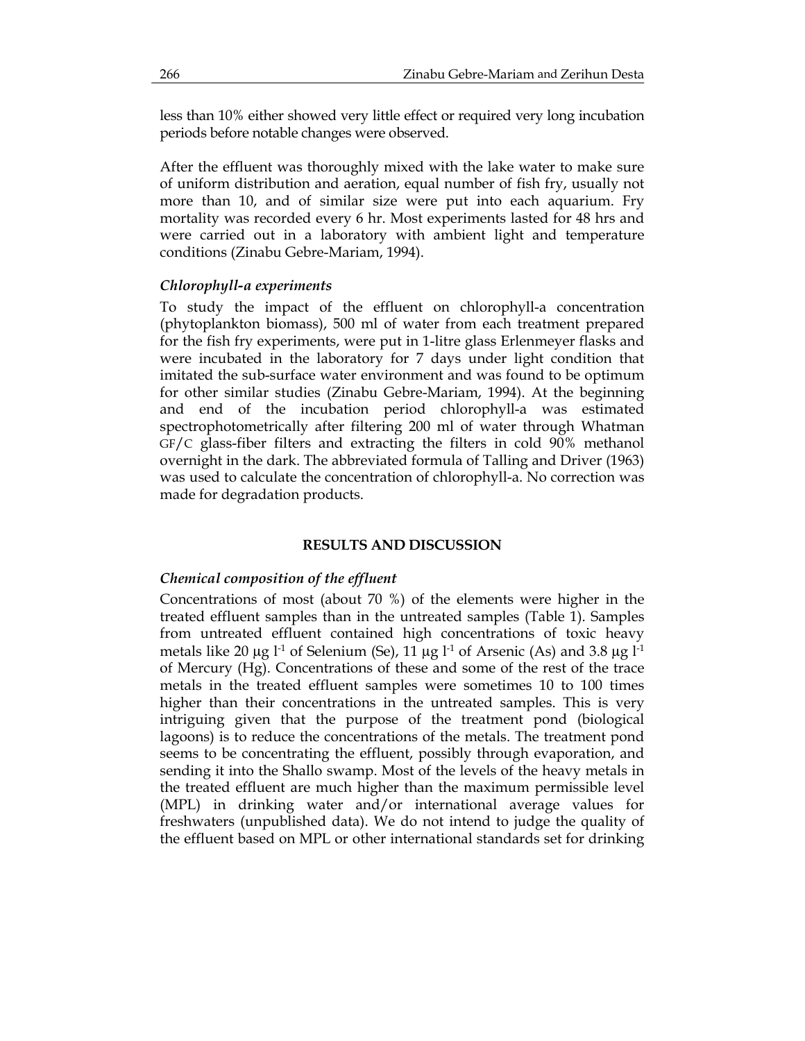less than 10% either showed very little effect or required very long incubation periods before notable changes were observed.

After the effluent was thoroughly mixed with the lake water to make sure of uniform distribution and aeration, equal number of fish fry, usually not more than 10, and of similar size were put into each aquarium. Fry mortality was recorded every 6 hr. Most experiments lasted for 48 hrs and were carried out in a laboratory with ambient light and temperature conditions (Zinabu Gebre-Mariam, 1994).

## *Chlorophyll-a experiments*

To study the impact of the effluent on chlorophyll-a concentration (phytoplankton biomass), 500 ml of water from each treatment prepared for the fish fry experiments, were put in 1-litre glass Erlenmeyer flasks and were incubated in the laboratory for 7 days under light condition that imitated the sub-surface water environment and was found to be optimum for other similar studies (Zinabu Gebre-Mariam, 1994). At the beginning and end of the incubation period chlorophyll-a was estimated spectrophotometrically after filtering 200 ml of water through Whatman GF/C glass-fiber filters and extracting the filters in cold 90% methanol overnight in the dark. The abbreviated formula of Talling and Driver (1963) was used to calculate the concentration of chlorophyll-a. No correction was made for degradation products.

## **RESULTS AND DISCUSSION**

# *Chemical composition of the effluent*

Concentrations of most (about 70 %) of the elements were higher in the treated effluent samples than in the untreated samples (Table 1). Samples from untreated effluent contained high concentrations of toxic heavy metals like 20  $\mu$ g l<sup>-1</sup> of Selenium (Se), 11  $\mu$ g l<sup>-1</sup> of Arsenic (As) and 3.8  $\mu$ g l<sup>-1</sup> of Mercury (Hg). Concentrations of these and some of the rest of the trace metals in the treated effluent samples were sometimes 10 to 100 times higher than their concentrations in the untreated samples. This is very intriguing given that the purpose of the treatment pond (biological lagoons) is to reduce the concentrations of the metals. The treatment pond seems to be concentrating the effluent, possibly through evaporation, and sending it into the Shallo swamp. Most of the levels of the heavy metals in the treated effluent are much higher than the maximum permissible level (MPL) in drinking water and/or international average values for freshwaters (unpublished data). We do not intend to judge the quality of the effluent based on MPL or other international standards set for drinking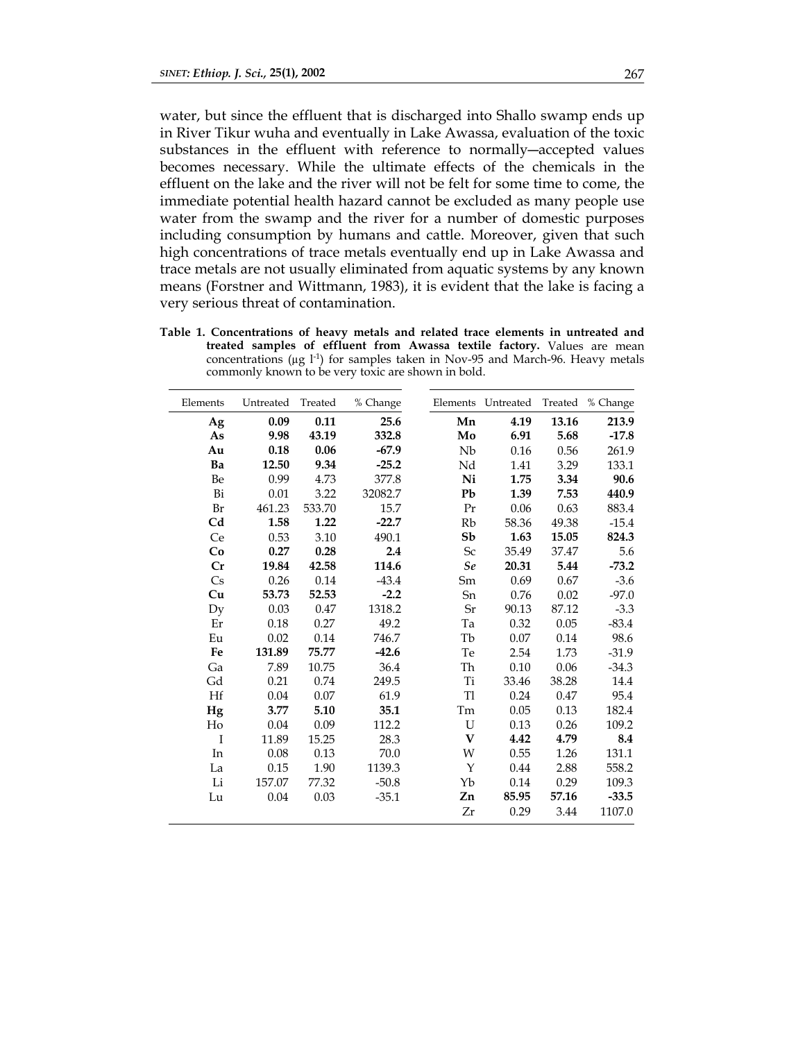water, but since the effluent that is discharged into Shallo swamp ends up in River Tikur wuha and eventually in Lake Awassa, evaluation of the toxic substances in the effluent with reference to normally―accepted values becomes necessary. While the ultimate effects of the chemicals in the effluent on the lake and the river will not be felt for some time to come, the immediate potential health hazard cannot be excluded as many people use water from the swamp and the river for a number of domestic purposes including consumption by humans and cattle. Moreover, given that such high concentrations of trace metals eventually end up in Lake Awassa and trace metals are not usually eliminated from aquatic systems by any known means (Forstner and Wittmann, 1983), it is evident that the lake is facing a very serious threat of contamination.

**Table 1. Concentrations of heavy metals and related trace elements in untreated and treated samples of effluent from Awassa textile factory.** Values are mean concentrations ( $\mu$ g l<sup>-1</sup>) for samples taken in Nov-95 and March-96. Heavy metals commonly known to be very toxic are shown in bold.

| Elements | Untreated Treated |        | % Change |              | Elements Untreated Treated % Change |       |         |
|----------|-------------------|--------|----------|--------------|-------------------------------------|-------|---------|
| Ag       | 0.09              | 0.11   | 25.6     | Mn           | 4.19                                | 13.16 | 213.9   |
| As       | 9.98              | 43.19  | 332.8    | Mo           | 6.91                                | 5.68  | $-17.8$ |
| Au       | 0.18              | 0.06   | $-67.9$  | Nb           | 0.16                                | 0.56  | 261.9   |
| Ba       | 12.50             | 9.34   | $-25.2$  | Nd           | 1.41                                | 3.29  | 133.1   |
| Be       | 0.99              | 4.73   | 377.8    | Ni           | 1.75                                | 3.34  | 90.6    |
| Bi       | 0.01              | 3.22   | 32082.7  | Pb           | 1.39                                | 7.53  | 440.9   |
| Br       | 461.23            | 533.70 | 15.7     | Pr           | 0.06                                | 0.63  | 883.4   |
| Cd       | 1.58              | 1.22   | $-22.7$  | Rb           | 58.36                               | 49.38 | $-15.4$ |
| Ce       | 0.53              | 3.10   | 490.1    | Sb           | 1.63                                | 15.05 | 824.3   |
| Co       | 0.27              | 0.28   | 2.4      | Sc           | 35.49                               | 37.47 | 5.6     |
| Cr       | 19.84             | 42.58  | 114.6    | Se           | 20.31                               | 5.44  | $-73.2$ |
| Cs       | 0.26              | 0.14   | $-43.4$  | Sm           | 0.69                                | 0.67  | $-3.6$  |
| Cu       | 53.73             | 52.53  | $-2.2$   | Sn           | 0.76                                | 0.02  | $-97.0$ |
| Dy       | 0.03              | 0.47   | 1318.2   | $\rm Sr$     | 90.13                               | 87.12 | $-3.3$  |
| Er       | 0.18              | 0.27   | 49.2     | Ta           | 0.32                                | 0.05  | $-83.4$ |
| Eu       | 0.02              | 0.14   | 746.7    | Tb           | 0.07                                | 0.14  | 98.6    |
| Fe       | 131.89            | 75.77  | $-42.6$  | Te           | 2.54                                | 1.73  | $-31.9$ |
| Ga       | 7.89              | 10.75  | 36.4     | Th           | 0.10                                | 0.06  | $-34.3$ |
| Gd       | 0.21              | 0.74   | 249.5    | Ti           | 33.46                               | 38.28 | 14.4    |
| Hf       | 0.04              | 0.07   | 61.9     | T1           | 0.24                                | 0.47  | 95.4    |
| Hg       | 3.77              | 5.10   | 35.1     | Tm           | 0.05                                | 0.13  | 182.4   |
| Ho       | 0.04              | 0.09   | 112.2    | U            | 0.13                                | 0.26  | 109.2   |
| I        | 11.89             | 15.25  | 28.3     | $\mathbf{V}$ | 4.42                                | 4.79  | 8.4     |
| In       | 0.08              | 0.13   | 70.0     | W            | 0.55                                | 1.26  | 131.1   |
| La       | 0.15              | 1.90   | 1139.3   | Y            | 0.44                                | 2.88  | 558.2   |
| Li       | 157.07            | 77.32  | $-50.8$  | Yb           | 0.14                                | 0.29  | 109.3   |
| Lu       | 0.04              | 0.03   | $-35.1$  | Zn           | 85.95                               | 57.16 | $-33.5$ |
|          |                   |        |          | Zr           | 0.29                                | 3.44  | 1107.0  |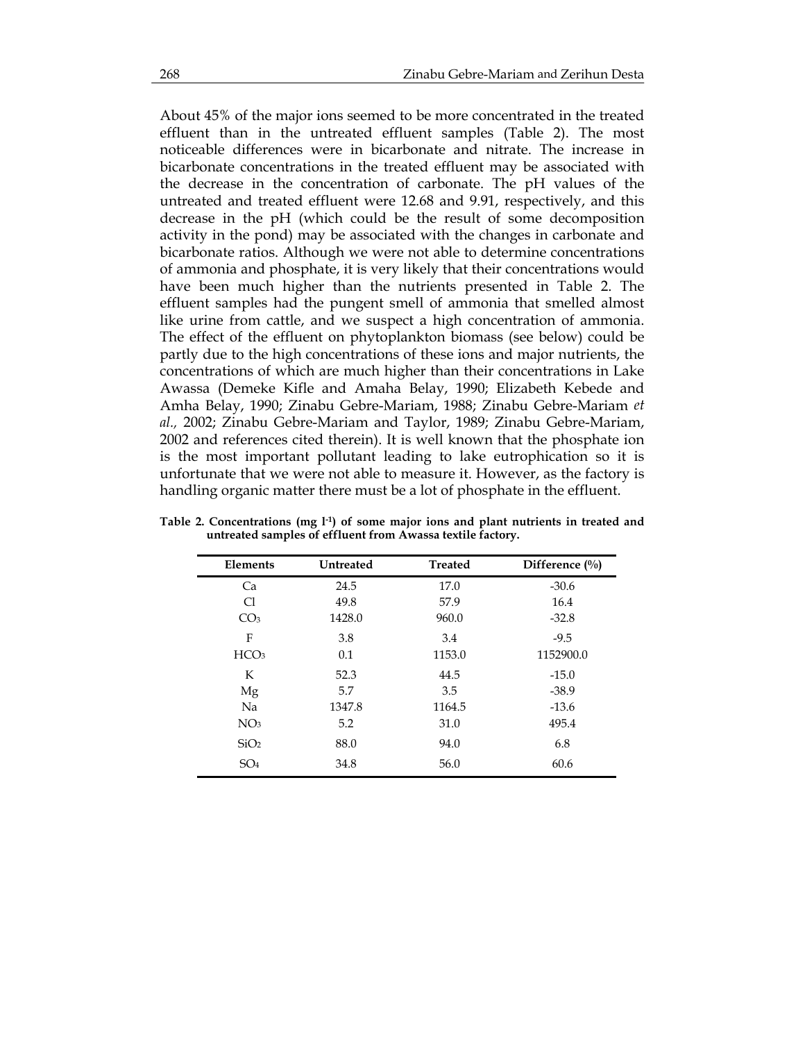About 45% of the major ions seemed to be more concentrated in the treated effluent than in the untreated effluent samples (Table 2). The most noticeable differences were in bicarbonate and nitrate. The increase in bicarbonate concentrations in the treated effluent may be associated with the decrease in the concentration of carbonate. The pH values of the untreated and treated effluent were 12.68 and 9.91, respectively, and this decrease in the pH (which could be the result of some decomposition activity in the pond) may be associated with the changes in carbonate and bicarbonate ratios. Although we were not able to determine concentrations of ammonia and phosphate, it is very likely that their concentrations would have been much higher than the nutrients presented in Table 2. The effluent samples had the pungent smell of ammonia that smelled almost like urine from cattle, and we suspect a high concentration of ammonia. The effect of the effluent on phytoplankton biomass (see below) could be partly due to the high concentrations of these ions and major nutrients, the concentrations of which are much higher than their concentrations in Lake Awassa (Demeke Kifle and Amaha Belay, 1990; Elizabeth Kebede and Amha Belay, 1990; Zinabu Gebre-Mariam, 1988; Zinabu Gebre-Mariam *et al.,* 2002; Zinabu Gebre-Mariam and Taylor, 1989; Zinabu Gebre-Mariam, 2002 and references cited therein). It is well known that the phosphate ion is the most important pollutant leading to lake eutrophication so it is unfortunate that we were not able to measure it. However, as the factory is handling organic matter there must be a lot of phosphate in the effluent.

| <b>Elements</b>  | <b>Untreated</b> | <b>Treated</b> | Difference $\frac{0}{0}$ |
|------------------|------------------|----------------|--------------------------|
| Ca               | 24.5             | 17.0           | $-30.6$                  |
| Cl               | 49.8             | 57.9           | 16.4                     |
| CO <sub>3</sub>  | 1428.0           | 960.0          | $-32.8$                  |
| F                | 3.8              | 3.4            | $-9.5$                   |
| HCO <sub>3</sub> | 0.1              | 1153.0         | 1152900.0                |
| K                | 52.3             | 44.5           | $-15.0$                  |
| Mg               | 5.7              | 3.5            | $-38.9$                  |
| Na               | 1347.8           | 1164.5         | $-13.6$                  |
| NO <sub>3</sub>  | 5.2              | 31.0           | 495.4                    |
| SiO <sub>2</sub> | 88.0             | 94.0           | 6.8                      |
| SO <sub>4</sub>  | 34.8             | 56.0           | 60.6                     |

**Table 2. Concentrations (mg l-1) of some major ions and plant nutrients in treated and untreated samples of effluent from Awassa textile factory.**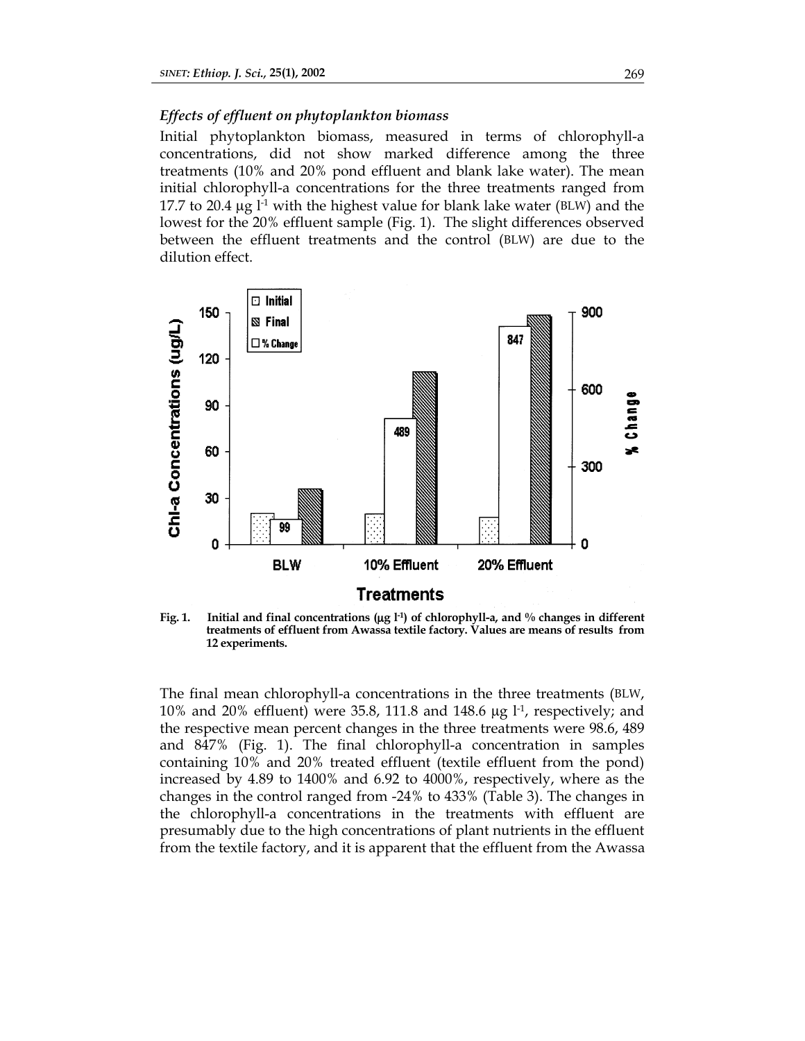#### *Effects of effluent on phytoplankton biomass*

Initial phytoplankton biomass, measured in terms of chlorophyll-a concentrations, did not show marked difference among the three treatments (10% and 20% pond effluent and blank lake water). The mean initial chlorophyll-a concentrations for the three treatments ranged from 17.7 to 20.4  $\mu$ g l<sup>-1</sup> with the highest value for blank lake water (BLW) and the lowest for the 20% effluent sample (Fig. 1). The slight differences observed between the effluent treatments and the control (BLW) are due to the dilution effect.



**Fig. 1. Initial and final concentrations (**µ**g l-1) of chlorophyll-a, and % changes in different treatments of effluent from Awassa textile factory. Values are means of results from 12 experiments.** 

The final mean chlorophyll-a concentrations in the three treatments (BLW, 10% and 20% effluent) were 35.8, 111.8 and 148.6  $\mu$ g l<sup>-1</sup>, respectively; and the respective mean percent changes in the three treatments were 98.6, 489 and 847% (Fig. 1). The final chlorophyll-a concentration in samples containing 10% and 20% treated effluent (textile effluent from the pond) increased by 4.89 to 1400% and 6.92 to 4000%, respectively, where as the changes in the control ranged from -24% to 433% (Table 3). The changes in the chlorophyll-a concentrations in the treatments with effluent are presumably due to the high concentrations of plant nutrients in the effluent from the textile factory, and it is apparent that the effluent from the Awassa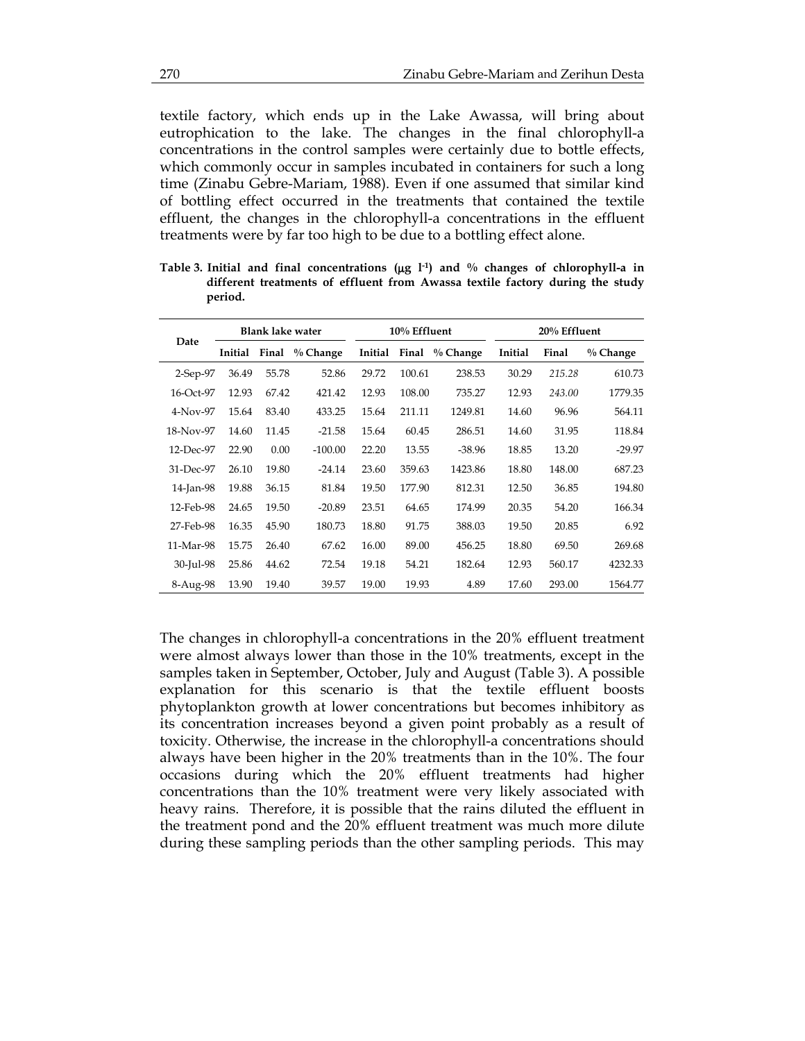textile factory, which ends up in the Lake Awassa, will bring about eutrophication to the lake. The changes in the final chlorophyll-a concentrations in the control samples were certainly due to bottle effects, which commonly occur in samples incubated in containers for such a long time (Zinabu Gebre-Mariam, 1988). Even if one assumed that similar kind of bottling effect occurred in the treatments that contained the textile effluent, the changes in the chlorophyll-a concentrations in the effluent treatments were by far too high to be due to a bottling effect alone.

**Table 3. Initial and final concentrations (**µ**g l-1) and % changes of chlorophyll-a in different treatments of effluent from Awassa textile factory during the study period.** 

| Date        | Blank lake water |       |             | 10% Effluent |        |             | 20% Effluent |        |             |
|-------------|------------------|-------|-------------|--------------|--------|-------------|--------------|--------|-------------|
|             | Initial          | Final | $\%$ Change | Initial      | Final  | $\%$ Change | Initial      | Final  | $\%$ Change |
| $2$ -Sep-97 | 36.49            | 55.78 | 52.86       | 29.72        | 100.61 | 238.53      | 30.29        | 215.28 | 610.73      |
| 16-Oct-97   | 12.93            | 67.42 | 421.42      | 12.93        | 108.00 | 735.27      | 12.93        | 243.00 | 1779.35     |
| $4-Nov-97$  | 15.64            | 83.40 | 433.25      | 15.64        | 211.11 | 1249.81     | 14.60        | 96.96  | 564.11      |
| 18-Nov-97   | 14.60            | 11.45 | $-21.58$    | 15.64        | 60.45  | 286.51      | 14.60        | 31.95  | 118.84      |
| 12-Dec-97   | 22.90            | 0.00  | $-100.00$   | 22.20        | 13.55  | $-38.96$    | 18.85        | 13.20  | $-29.97$    |
| 31-Dec-97   | 26.10            | 19.80 | $-24.14$    | 23.60        | 359.63 | 1423.86     | 18.80        | 148.00 | 687.23      |
| 14-Jan-98   | 19.88            | 36.15 | 81.84       | 19.50        | 177.90 | 812.31      | 12.50        | 36.85  | 194.80      |
| 12-Feb-98   | 24.65            | 19.50 | $-20.89$    | 23.51        | 64.65  | 174.99      | 20.35        | 54.20  | 166.34      |
| 27-Feb-98   | 16.35            | 45.90 | 180.73      | 18.80        | 91.75  | 388.03      | 19.50        | 20.85  | 6.92        |
| 11-Mar-98   | 15.75            | 26.40 | 67.62       | 16.00        | 89.00  | 456.25      | 18.80        | 69.50  | 269.68      |
| 30-Jul-98   | 25.86            | 44.62 | 72.54       | 19.18        | 54.21  | 182.64      | 12.93        | 560.17 | 4232.33     |
| 8-Aug-98    | 13.90            | 19.40 | 39.57       | 19.00        | 19.93  | 4.89        | 17.60        | 293.00 | 1564.77     |

The changes in chlorophyll-a concentrations in the 20% effluent treatment were almost always lower than those in the 10% treatments, except in the samples taken in September, October, July and August (Table 3). A possible explanation for this scenario is that the textile effluent boosts phytoplankton growth at lower concentrations but becomes inhibitory as its concentration increases beyond a given point probably as a result of toxicity. Otherwise, the increase in the chlorophyll-a concentrations should always have been higher in the 20% treatments than in the 10%. The four occasions during which the 20% effluent treatments had higher concentrations than the 10% treatment were very likely associated with heavy rains. Therefore, it is possible that the rains diluted the effluent in the treatment pond and the 20% effluent treatment was much more dilute during these sampling periods than the other sampling periods. This may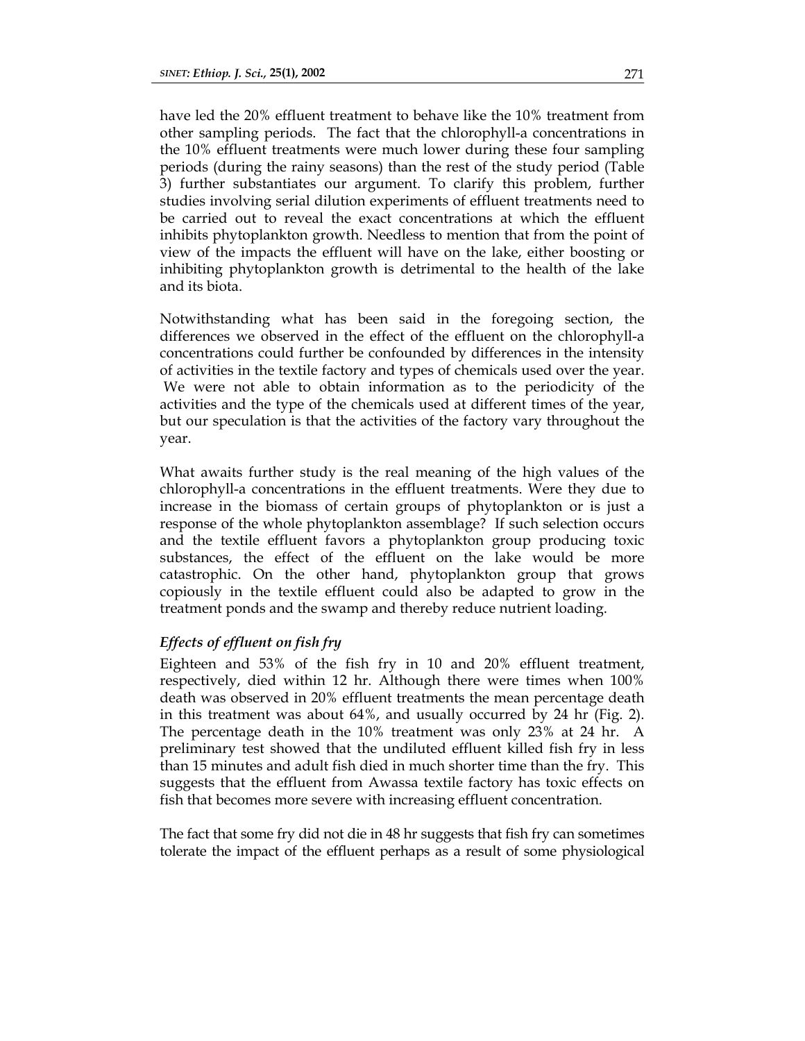have led the 20% effluent treatment to behave like the 10% treatment from other sampling periods. The fact that the chlorophyll-a concentrations in the 10% effluent treatments were much lower during these four sampling periods (during the rainy seasons) than the rest of the study period (Table 3) further substantiates our argument. To clarify this problem, further studies involving serial dilution experiments of effluent treatments need to be carried out to reveal the exact concentrations at which the effluent inhibits phytoplankton growth. Needless to mention that from the point of view of the impacts the effluent will have on the lake, either boosting or inhibiting phytoplankton growth is detrimental to the health of the lake and its biota.

Notwithstanding what has been said in the foregoing section, the differences we observed in the effect of the effluent on the chlorophyll-a concentrations could further be confounded by differences in the intensity of activities in the textile factory and types of chemicals used over the year. We were not able to obtain information as to the periodicity of the activities and the type of the chemicals used at different times of the year, but our speculation is that the activities of the factory vary throughout the year.

What awaits further study is the real meaning of the high values of the chlorophyll-a concentrations in the effluent treatments. Were they due to increase in the biomass of certain groups of phytoplankton or is just a response of the whole phytoplankton assemblage? If such selection occurs and the textile effluent favors a phytoplankton group producing toxic substances, the effect of the effluent on the lake would be more catastrophic. On the other hand, phytoplankton group that grows copiously in the textile effluent could also be adapted to grow in the treatment ponds and the swamp and thereby reduce nutrient loading.

## *Effects of effluent on fish fry*

Eighteen and 53% of the fish fry in 10 and 20% effluent treatment, respectively, died within 12 hr. Although there were times when 100% death was observed in 20% effluent treatments the mean percentage death in this treatment was about 64%, and usually occurred by 24 hr (Fig. 2). The percentage death in the 10% treatment was only 23% at 24 hr. A preliminary test showed that the undiluted effluent killed fish fry in less than 15 minutes and adult fish died in much shorter time than the fry. This suggests that the effluent from Awassa textile factory has toxic effects on fish that becomes more severe with increasing effluent concentration.

The fact that some fry did not die in 48 hr suggests that fish fry can sometimes tolerate the impact of the effluent perhaps as a result of some physiological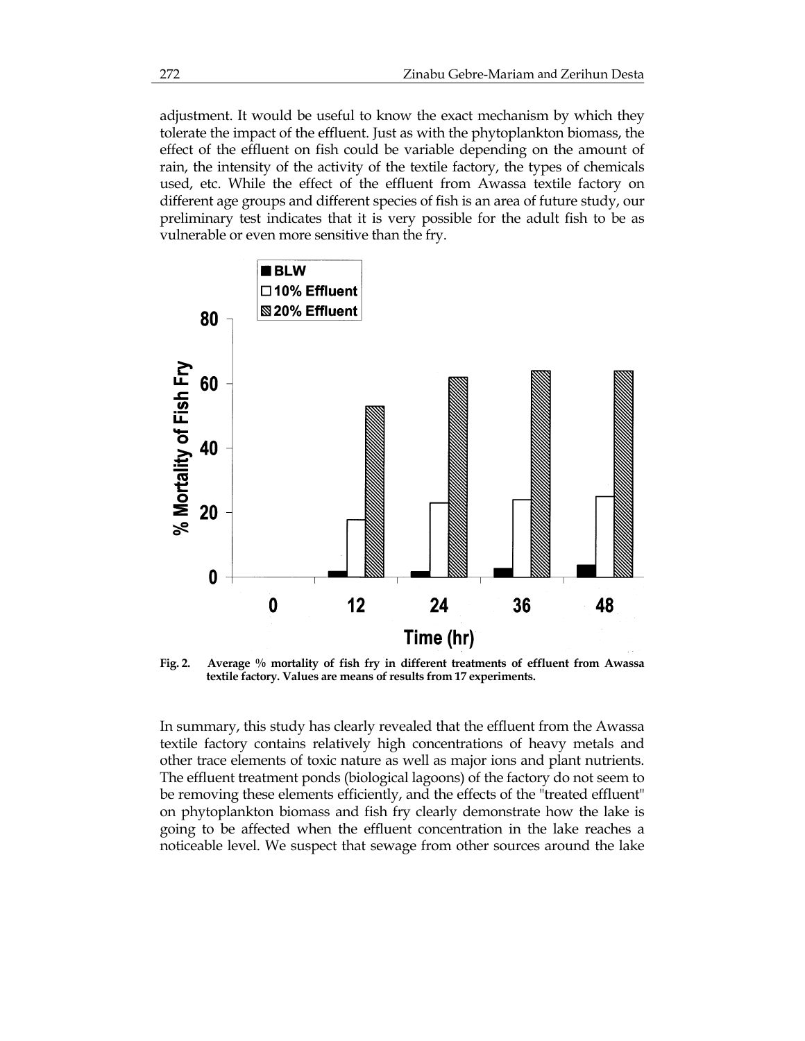adjustment. It would be useful to know the exact mechanism by which they tolerate the impact of the effluent. Just as with the phytoplankton biomass, the effect of the effluent on fish could be variable depending on the amount of rain, the intensity of the activity of the textile factory, the types of chemicals used, etc. While the effect of the effluent from Awassa textile factory on different age groups and different species of fish is an area of future study, our preliminary test indicates that it is very possible for the adult fish to be as vulnerable or even more sensitive than the fry.



**Fig. 2. Average % mortality of fish fry in different treatments of effluent from Awassa textile factory. Values are means of results from 17 experiments.** 

In summary, this study has clearly revealed that the effluent from the Awassa textile factory contains relatively high concentrations of heavy metals and other trace elements of toxic nature as well as major ions and plant nutrients. The effluent treatment ponds (biological lagoons) of the factory do not seem to be removing these elements efficiently, and the effects of the "treated effluent" on phytoplankton biomass and fish fry clearly demonstrate how the lake is going to be affected when the effluent concentration in the lake reaches a noticeable level. We suspect that sewage from other sources around the lake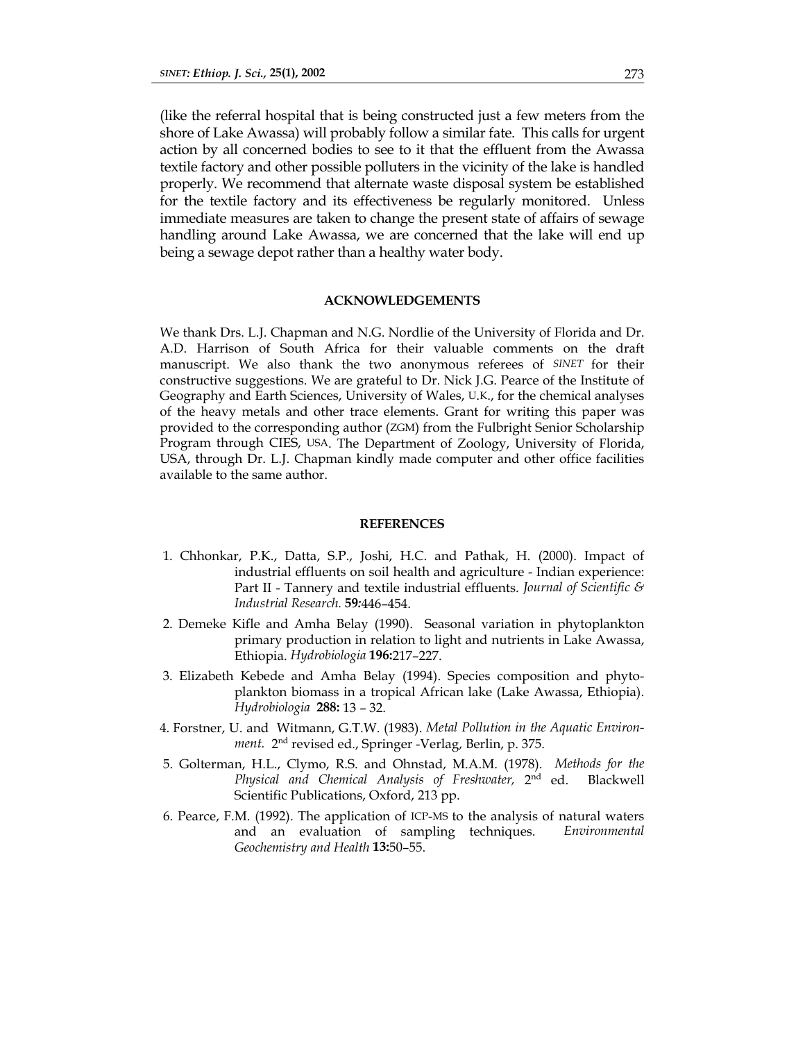(like the referral hospital that is being constructed just a few meters from the shore of Lake Awassa) will probably follow a similar fate. This calls for urgent action by all concerned bodies to see to it that the effluent from the Awassa textile factory and other possible polluters in the vicinity of the lake is handled properly. We recommend that alternate waste disposal system be established for the textile factory and its effectiveness be regularly monitored. Unless immediate measures are taken to change the present state of affairs of sewage handling around Lake Awassa, we are concerned that the lake will end up being a sewage depot rather than a healthy water body.

#### **ACKNOWLEDGEMENTS**

We thank Drs. L.J. Chapman and N.G. Nordlie of the University of Florida and Dr. A.D. Harrison of South Africa for their valuable comments on the draft manuscript. We also thank the two anonymous referees of *SINET* for their constructive suggestions. We are grateful to Dr. Nick J.G. Pearce of the Institute of Geography and Earth Sciences, University of Wales, U.K., for the chemical analyses of the heavy metals and other trace elements. Grant for writing this paper was provided to the corresponding author (ZGM) from the Fulbright Senior Scholarship Program through CIES, USA. The Department of Zoology, University of Florida, USA, through Dr. L.J. Chapman kindly made computer and other office facilities available to the same author.

#### **REFERENCES**

- 1. Chhonkar, P.K., Datta, S.P., Joshi, H.C. and Pathak, H. (2000). Impact of industrial effluents on soil health and agriculture - Indian experience: Part II - Tannery and textile industrial effluents. *Journal of Scientific & Industrial Research.* **59***:*446–454.
- 2. Demeke Kifle and Amha Belay (1990). Seasonal variation in phytoplankton primary production in relation to light and nutrients in Lake Awassa, Ethiopia. *Hydrobiologia* **196:**217–227.
- 3. Elizabeth Kebede and Amha Belay (1994). Species composition and phytoplankton biomass in a tropical African lake (Lake Awassa, Ethiopia). *Hydrobiologia* **288:** 13 – 32.
- 4. Forstner, U. and Witmann, G.T.W. (1983). *Metal Pollution in the Aquatic Environment.* 2nd revised ed., Springer -Verlag, Berlin, p. 375.
- 5. Golterman, H.L., Clymo, R.S. and Ohnstad, M.A.M. (1978). *Methods for the Physical and Chemical Analysis of Freshwater,* 2nd ed. Blackwell Scientific Publications, Oxford, 213 pp.
- 6. Pearce, F.M. (1992). The application of ICP-MS to the analysis of natural waters and an evaluation of sampling techniques. *Environmental Geochemistry and Health* **13:**50–55.